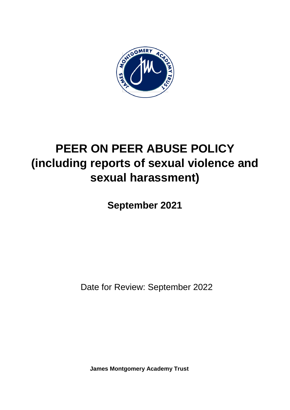

# **PEER ON PEER ABUSE POLICY (including reports of sexual violence and sexual harassment)**

**September 2021**

Date for Review: September 2022

**James Montgomery Academy Trust**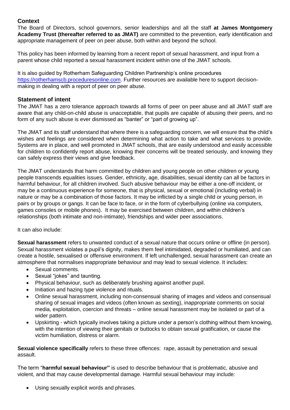# **Context**

The Board of Directors, school governors, senior leaderships and all the staff **at James Montgomery Academy Trust (thereafter referred to as JMAT)** are committed to the prevention, early identification and appropriate management of peer on peer abuse, both within and beyond the school.

This policy has been informed by learning from a recent report of sexual harassment, and input from a parent whose child reported a sexual harassment incident within one of the JMAT schools.

It is also guided by Rotherham Safeguarding Children Partnership's online procedures [https://rotherhamscb.proceduresonline.com.](https://rotherhamscb.proceduresonline.com/) Further resources are available here to support decisionmaking in dealing with a report of peer on peer abuse.

# **Statement of intent**

The JMAT has a zero tolerance approach towards all forms of peer on peer abuse and all JMAT staff are aware that any child-on-child abuse is unacceptable, that pupils are capable of abusing their peers, and no form of any such abuse is ever dismissed as "banter" or "part of growing up".

The JMAT and its staff understand that where there is a safeguarding concern, we will ensure that the child's wishes and feelings are considered when determining what action to take and what services to provide. Systems are in place, and well promoted in JMAT schools, that are easily understood and easily accessible for children to confidently report abuse, knowing their concerns will be treated seriously, and knowing they can safely express their views and give feedback.

The JMAT understands that harm committed by children and young people on other children or young people transcends equalities issues. Gender, ethnicity, age, disabilities, sexual identity can all be factors in harmful behaviour, for all children involved. Such abusive behaviour may be either a one-off incident, or may be a continuous experience for someone, that is physical, sexual or emotional (including verbal) in nature or may be a combination of those factors. It may be inflicted by a single child or young person, in pairs or by groups or gangs. It can be face to face, or in the form of cyberbullying (online via computers, games consoles or mobile phones). It may be exercised between children, and within children's relationships (both intimate and non-intimate), friendships and wider peer associations.

It can also include:

**Sexual harassment** refers to unwanted conduct of a sexual nature that occurs online or offline (in person). Sexual harassment violates a pupil's dignity, makes them feel intimidated, degraded or humiliated, and can create a hostile, sexualised or offensive environment. If left unchallenged, sexual harassment can create an atmosphere that normalises inappropriate behaviour and may lead to sexual violence. It includes:

- Sexual comments.
- Sexual "jokes" and taunting.
- Physical behaviour, such as deliberately brushing against another pupil.
- Initiation and hazing type violence and rituals.
- Online sexual harassment, including non-consensual sharing of images and videos and consensual sharing of sexual images and videos (often known as sexting), inappropriate comments on social media, exploitation, coercion and threats – online sexual harassment may be isolated or part of a wider pattern.
- Upskirting which typically involves taking a picture under a person's clothing without them knowing, with the intention of viewing their genitals or buttocks to obtain sexual gratification, or cause the victim humiliation, distress or alarm.

**Sexual violence specifically** refers to these three offences: rape, assault by penetration and sexual assault.

The term "**harmful sexual behaviour"** is used to describe behaviour that is problematic, abusive and violent, and that may cause developmental damage. Harmful sexual behaviour may include:

Using sexually explicit words and phrases.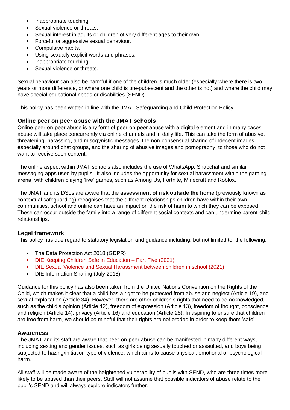- Inappropriate touching.
- Sexual violence or threats.
- Sexual interest in adults or children of very different ages to their own.
- Forceful or aggressive sexual behaviour.
- Compulsive habits.
- Using sexually explicit words and phrases.
- Inappropriate touching.
- Sexual violence or threats.

Sexual behaviour can also be harmful if one of the children is much older (especially where there is two years or more difference, or where one child is pre-pubescent and the other is not) and where the child may have special educational needs or disabilities (SEND).

This policy has been written in line with the JMAT Safeguarding and Child Protection Policy.

#### **Online peer on peer abuse with the JMAT schools**

Online peer-on-peer abuse is any form of peer-on-peer abuse with a digital element and in many cases abuse will take place concurrently via online channels and in daily life. This can take the form of abusive, threatening, harassing, and misogynistic messages, the non-consensual sharing of indecent images, especially around chat groups, and the sharing of abusive images and pornography, to those who do not want to receive such content.

The online aspect within JMAT schools also includes the use of WhatsApp, Snapchat and similar messaging apps used by pupils. It also includes the opportunity for sexual harassment within the gaming arena, with children playing 'live' games, such as Among Us, Fortnite, Minecraft and Roblox.

The JMAT and its DSLs are aware that the **assessment of risk outside the home** (previously known as contextual safeguarding) recognises that the different relationships children have within their own communities, school and online can have an impact on the risk of harm to which they can be exposed. These can occur outside the family into a range of different social contexts and can undermine parent-child relationships.

#### **Legal framework**

This policy has due regard to statutory legislation and guidance including, but not limited to, the following:

- The Data Protection Act 2018 (GDPR)
- DfE Keeping Children Safe in Education Part Five (2021)
- DfE Sexual Violence and Sexual Harassment between children in school (2021).
- DfE Information Sharing (July 2018)

Guidance for this policy has also been taken from the United Nations Convention on the Rights of the Child, which makes it clear that a child has a right to be protected from abuse and neglect (Article 19), and sexual exploitation (Article 34). However, there are other children's rights that need to be acknowledged, such as the child's opinion (Article 12), freedom of expression (Article 13), freedom of thought, conscience and religion (Article 14), privacy (Article 16) and education (Article 28). In aspiring to ensure that children are free from harm, we should be mindful that their rights are not eroded in order to keep them 'safe'.

# **Awareness**

The JMAT and its staff are aware that peer-on-peer abuse can be manifested in many different ways, including sexting and gender issues, such as girls being sexually touched or assaulted, and boys being subjected to hazing/initiation type of violence, which aims to cause physical, emotional or psychological harm.

All staff will be made aware of the heightened vulnerability of pupils with SEND, who are three times more likely to be abused than their peers. Staff will not assume that possible indicators of abuse relate to the pupil's SEND and will always explore indicators further.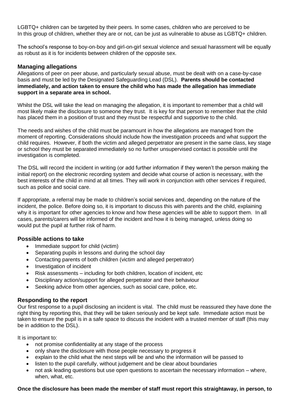LGBTQ+ children can be targeted by their peers. In some cases, children who are perceived to be In this group of children, whether they are or not, can be just as vulnerable to abuse as LGBTQ+ children.

The school's response to boy-on-boy and girl-on-girl sexual violence and sexual harassment will be equally as robust as it is for incidents between children of the opposite sex.

#### **Managing allegations**

Allegations of peer on peer abuse, and particularly sexual abuse, must be dealt with on a case-by-case basis and must be led by the Designated Safeguarding Lead (DSL). **Parents should be contacted immediately, and action taken to ensure the child who has made the allegation has immediate support in a separate area in school.**

Whilst the DSL will take the lead on managing the allegation, it is important to remember that a child will most likely make the disclosure to someone they trust. It is key for that person to remember that the child has placed them in a position of trust and they must be respectful and supportive to the child.

The needs and wishes of the child must be paramount in how the allegations are managed from the moment of reporting. Considerations should include how the investigation proceeds and what support the child requires. However, if both the victim and alleged perpetrator are present in the same class, key stage or school they must be separated immediately so no further unsupervised contact is possible until the investigation is completed.

The DSL will record the incident in writing (or add further information if they weren't the person making the initial report) on the electronic recording system and decide what course of action is necessary, with the best interests of the child in mind at all times. They will work in conjunction with other services if required, such as police and social care.

If appropriate, a referral may be made to children's social services and, depending on the nature of the incident, the police. Before doing so, it is important to discuss this with parents and the child, explaining why it is important for other agencies to know and how these agencies will be able to support them. In all cases, parents/carers will be informed of the incident and how it is being managed, unless doing so would put the pupil at further risk of harm.

# **Possible actions to take**

- Immediate support for child (victim)
- Separating pupils in lessons and during the school day
- Contacting parents of both children (victim and alleged perpetrator)
- Investigation of incident
- Risk assessments including for both children, location of incident, etc
- Disciplinary action/support for alleged perpetrator and their behaviour
- Seeking advice from other agencies, such as social care, police, etc.

# **Responding to the report**

Our first response to a pupil disclosing an incident is vital. The child must be reassured they have done the right thing by reporting this, that they will be taken seriously and be kept safe. Immediate action must be taken to ensure the pupil is in a safe space to discuss the incident with a trusted member of staff (this may be in addition to the DSL).

It is important to:

- not promise confidentiality at any stage of the process
- only share the disclosure with those people necessary to progress it
- explain to the child what the next steps will be and who the information will be passed to
- listen to the pupil carefully, without judgement and be clear about boundaries
- not ask leading questions but use open questions to ascertain the necessary information where, when, what, etc.

#### **Once the disclosure has been made the member of staff must report this straightaway, in person, to**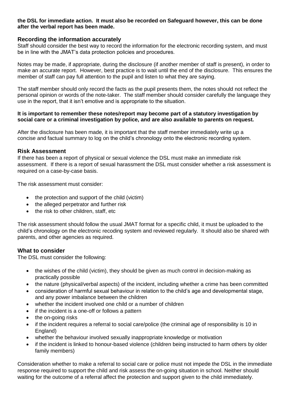#### **the DSL for immediate action. It must also be recorded on Safeguard however, this can be done after the verbal report has been made.**

#### **Recording the information accurately**

Staff should consider the best way to record the information for the electronic recording system, and must be in line with the JMAT's data protection policies and procedures.

Notes may be made, if appropriate, during the disclosure (if another member of staff is present), in order to make an accurate report. However, best practice is to wait until the end of the disclosure. This ensures the member of staff can pay full attention to the pupil and listen to what they are saying.

The staff member should only record the facts as the pupil presents them, the notes should not reflect the personal opinion or words of the note-taker. The staff member should consider carefully the language they use in the report, that it isn't emotive and is appropriate to the situation.

#### **It is important to remember these notes/report may become part of a statutory investigation by social care or a criminal investigation by police, and are also available to parents on request.**

After the disclosure has been made, it is important that the staff member immediately write up a concise and factual summary to log on the child's chronology onto the electronic recording system.

#### **Risk Assessment**

If there has been a report of physical or sexual violence the DSL must make an immediate risk assessment. If there is a report of sexual harassment the DSL must consider whether a risk assessment is required on a case-by-case basis.

The risk assessment must consider:

- the protection and support of the child (victim)
- the alleged perpetrator and further risk
- the risk to other children, staff, etc.

The risk assessment should follow the usual JMAT format for a specific child, it must be uploaded to the child's chronology on the electronic recoding system and reviewed regularly. It should also be shared with parents, and other agencies as required.

#### **What to consider**

The DSL must consider the following:

- the wishes of the child (victim), they should be given as much control in decision-making as practically possible
- the nature (physical/verbal aspects) of the incident, including whether a crime has been committed
- consideration of harmful sexual behaviour in relation to the child's age and developmental stage, and any power imbalance between the children
- whether the incident involved one child or a number of children
- if the incident is a one-off or follows a pattern
- the on-going risks
- if the incident requires a referral to social care/police (the criminal age of responsibility is 10 in England)
- whether the behaviour involved sexually inappropriate knowledge or motivation
- if the incident is linked to honour-based violence (children being instructed to harm others by older family members)

Consideration whether to make a referral to social care or police must not impede the DSL in the immediate response required to support the child and risk assess the on-going situation in school. Neither should waiting for the outcome of a referral affect the protection and support given to the child immediately.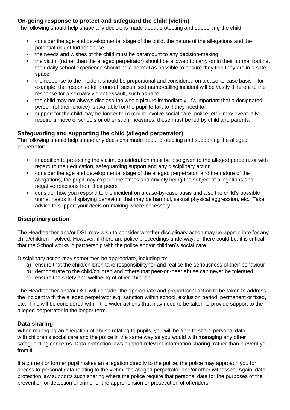# **On-going response to protect and safeguard the child (victim)**

The following should help shape any decisions made about protecting and supporting the child:

- consider the age and developmental stage of the child, the nature of the allegations and the potential risk of further abuse
- the needs and wishes of the child must be paramount to any decision-making.
- the victim (rather than the alleged perpetrator) should be allowed to carry on in their normal routine, their daily school experience should be a normal as possible to ensure they feel they are in a safe space
- the response to the incident should be proportional and considered on a case-to-case basis for example, the response for a one-off sexualised name-calling incident will be vastly different to the response for a sexually violent assault, such as rape
- the child may not always disclose the whole picture immediately, it's important that a designated person (of their choice) is available for the pupil to talk to if they need to.
- support for the child may be longer term (could involve social care, police, etc), may eventually require a move of schools or other such measures, these must be led by child and parents.

# **Safeguarding and supporting the child (alleged perpetrator)**

The following should help shape any decisions made about protecting and supporting the alleged perpetrator:

- in addition to protecting the victim, consideration must be also given to the alleged perpetrator with regard to their education, safeguarding support and any disciplinary action
- consider the age and developmental stage of the alleged perpetrator, and the nature of the allegations, the pupil may experience stress and anxiety being the subject of allegations and negative reactions from their peers
- consider how you respond to the incident on a case-by-case basis and also the child's possible unmet needs in displaying behaviour that may be harmful, sexual physical aggression, etc. Take advice to support your decision-making where necessary.

# **Disciplinary action**

The Headteacher and/or DSL may wish to consider whether disciplinary action may be appropriate for any child/children involved. However, if there are police proceedings underway, or there could be, it is critical that the School works in partnership with the police and/or children's social care.

Disciplinary action may sometimes be appropriate, including to:

- a) ensure that the child/children take responsibility for and realise the seriousness of their behaviour
- b) demonstrate to the child/children and others that peer-on-peer abuse can never be tolerated
- c) ensure the safety and wellbeing of other children

The Headteacher and/or DSL will consider the appropriate and proportional action to be taken to address the incident with the alleged perpetrator e.g. sanction within school, exclusion period, permanent or fixed, etc. This will be considered within the wider actions that may need to be taken to provide support to the alleged perpetrator in the longer term.

# **Data sharing**

When managing an allegation of abuse relating to pupils, you will be able to share personal data with children's social care and the police in the same way as you would with managing any other safeguarding concerns. Data protection laws support relevant information sharing, rather than prevent you from it.

If a current or former pupil makes an allegation directly to the police, the police may approach you for access to personal data relating to the victim, the alleged perpetrator and/or other witnesses. Again, data protection law supports such sharing where the police require that personal data for the purposes of the prevention or detection of crime, or the apprehension or prosecution of offenders.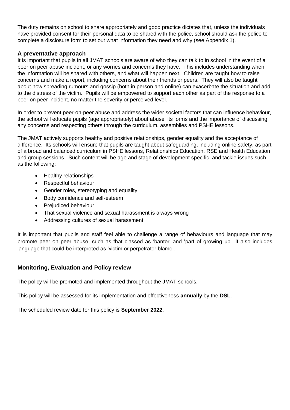The duty remains on school to share appropriately and good practice dictates that, unless the individuals have provided consent for their personal data to be shared with the police, school should ask the police to complete a disclosure form to set out what information they need and why (see Appendix 1).

# **A preventative approach**

It is important that pupils in all JMAT schools are aware of who they can talk to in school in the event of a peer on peer abuse incident, or any worries and concerns they have. This includes understanding when the information will be shared with others, and what will happen next. Children are taught how to raise concerns and make a report, including concerns about their friends or peers. They will also be taught about how spreading rumours and gossip (both in person and online) can exacerbate the situation and add to the distress of the victim. Pupils will be empowered to support each other as part of the response to a peer on peer incident, no matter the severity or perceived level.

In order to prevent peer-on-peer abuse and address the wider societal factors that can influence behaviour, the school will educate pupils (age appropriately) about abuse, its forms and the importance of discussing any concerns and respecting others through the curriculum, assemblies and PSHE lessons.

The JMAT actively supports healthy and positive relationships, gender equality and the acceptance of difference. Its schools will ensure that pupils are taught about safeguarding, including online safety, as part of a broad and balanced curriculum in PSHE lessons, Relationships Education, RSE and Health Education and group sessions. Such content will be age and stage of development specific, and tackle issues such as the following:

- Healthy relationships
- Respectful behaviour
- Gender roles, stereotyping and equality
- Body confidence and self-esteem
- Prejudiced behaviour
- That sexual violence and sexual harassment is always wrong
- Addressing cultures of sexual harassment

It is important that pupils and staff feel able to challenge a range of behaviours and language that may promote peer on peer abuse, such as that classed as 'banter' and 'part of growing up'. It also includes language that could be interpreted as 'victim or perpetrator blame'.

# **Monitoring, Evaluation and Policy review**

The policy will be promoted and implemented throughout the JMAT schools.

This policy will be assessed for its implementation and effectiveness **annually** by the **DSL**.

The scheduled review date for this policy is **September 2022.**